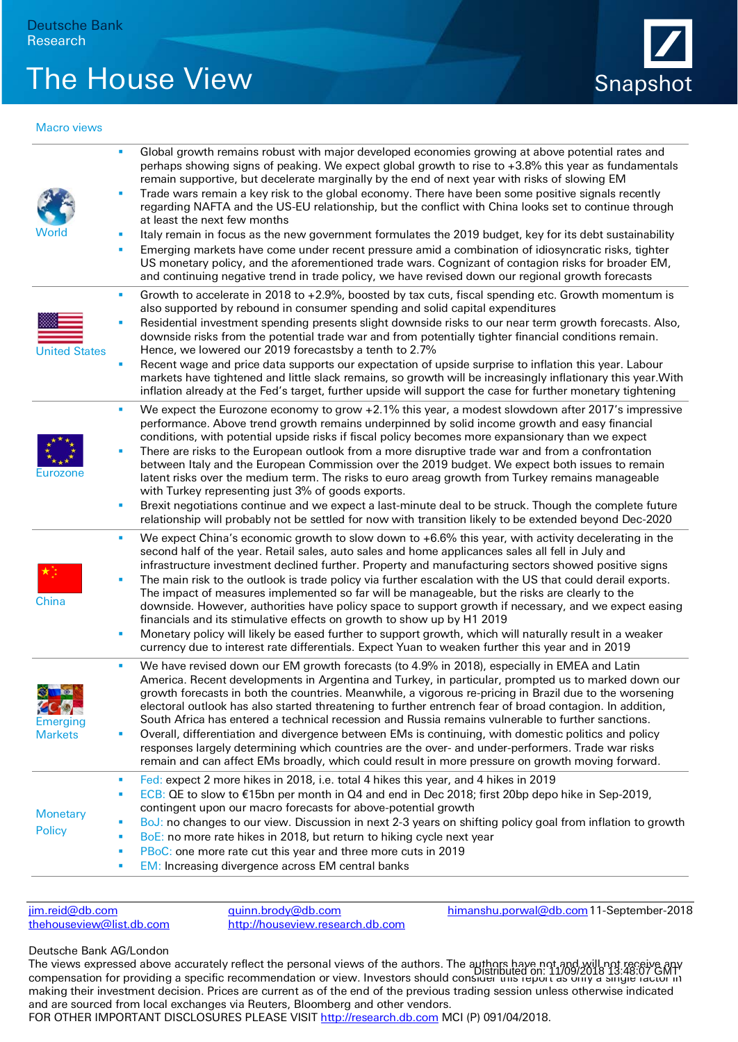## The House View Snapshot



## Macro views

|                                 | ٠      | Global growth remains robust with major developed economies growing at above potential rates and<br>perhaps showing signs of peaking. We expect global growth to rise to +3.8% this year as fundamentals<br>remain supportive, but decelerate marginally by the end of next year with risks of slowing EM                                                                                                                                                                                                                        |
|---------------------------------|--------|----------------------------------------------------------------------------------------------------------------------------------------------------------------------------------------------------------------------------------------------------------------------------------------------------------------------------------------------------------------------------------------------------------------------------------------------------------------------------------------------------------------------------------|
|                                 | I.     | Trade wars remain a key risk to the global economy. There have been some positive signals recently<br>regarding NAFTA and the US-EU relationship, but the conflict with China looks set to continue through<br>at least the next few months                                                                                                                                                                                                                                                                                      |
| World                           | ٠      | Italy remain in focus as the new government formulates the 2019 budget, key for its debt sustainability                                                                                                                                                                                                                                                                                                                                                                                                                          |
|                                 | ×      | Emerging markets have come under recent pressure amid a combination of idiosyncratic risks, tighter<br>US monetary policy, and the aforementioned trade wars. Cognizant of contagion risks for broader EM,<br>and continuing negative trend in trade policy, we have revised down our regional growth forecasts                                                                                                                                                                                                                  |
| <b>United States</b>            | ٠      | Growth to accelerate in 2018 to $+2.9\%$ , boosted by tax cuts, fiscal spending etc. Growth momentum is<br>also supported by rebound in consumer spending and solid capital expenditures                                                                                                                                                                                                                                                                                                                                         |
|                                 | ×      | Residential investment spending presents slight downside risks to our near term growth forecasts. Also,<br>downside risks from the potential trade war and from potentially tighter financial conditions remain.<br>Hence, we lowered our 2019 forecastsby a tenth to 2.7%                                                                                                                                                                                                                                                       |
|                                 | n,     | Recent wage and price data supports our expectation of upside surprise to inflation this year. Labour<br>markets have tightened and little slack remains, so growth will be increasingly inflationary this year. With<br>inflation already at the Fed's target, further upside will support the case for further monetary tightening                                                                                                                                                                                             |
| Eurozone                        | ٠      | We expect the Eurozone economy to grow +2.1% this year, a modest slowdown after 2017's impressive<br>performance. Above trend growth remains underpinned by solid income growth and easy financial<br>conditions, with potential upside risks if fiscal policy becomes more expansionary than we expect                                                                                                                                                                                                                          |
|                                 | ٠      | There are risks to the European outlook from a more disruptive trade war and from a confrontation<br>between Italy and the European Commission over the 2019 budget. We expect both issues to remain<br>latent risks over the medium term. The risks to euro areag growth from Turkey remains manageable<br>with Turkey representing just 3% of goods exports.                                                                                                                                                                   |
|                                 | ٠      | Brexit negotiations continue and we expect a last-minute deal to be struck. Though the complete future<br>relationship will probably not be settled for now with transition likely to be extended beyond Dec-2020                                                                                                                                                                                                                                                                                                                |
|                                 | ٠      | We expect China's economic growth to slow down to $+6.6\%$ this year, with activity decelerating in the<br>second half of the year. Retail sales, auto sales and home applicances sales all fell in July and<br>infrastructure investment declined further. Property and manufacturing sectors showed positive signs                                                                                                                                                                                                             |
| China                           | ٠      | The main risk to the outlook is trade policy via further escalation with the US that could derail exports.<br>The impact of measures implemented so far will be manageable, but the risks are clearly to the<br>downside. However, authorities have policy space to support growth if necessary, and we expect easing                                                                                                                                                                                                            |
|                                 | ٠      | financials and its stimulative effects on growth to show up by H1 2019<br>Monetary policy will likely be eased further to support growth, which will naturally result in a weaker<br>currency due to interest rate differentials. Expect Yuan to weaken further this year and in 2019                                                                                                                                                                                                                                            |
| <b>EC ME</b><br><b>Emerging</b> | ٠      | We have revised down our EM growth forecasts (to 4.9% in 2018), especially in EMEA and Latin<br>America. Recent developments in Argentina and Turkey, in particular, prompted us to marked down our<br>growth forecasts in both the countries. Meanwhile, a vigorous re-pricing in Brazil due to the worsening<br>electoral outlook has also started threatening to further entrench fear of broad contagion. In addition,<br>South Africa has entered a technical recession and Russia remains vulnerable to further sanctions. |
| <b>Markets</b>                  | п      | Overall, differentiation and divergence between EMs is continuing, with domestic politics and policy<br>responses largely determining which countries are the over- and under-performers. Trade war risks<br>remain and can affect EMs broadly, which could result in more pressure on growth moving forward.                                                                                                                                                                                                                    |
|                                 | ٠      | Fed: expect 2 more hikes in 2018, i.e. total 4 hikes this year, and 4 hikes in 2019                                                                                                                                                                                                                                                                                                                                                                                                                                              |
|                                 | п      | ECB: QE to slow to €15bn per month in Q4 and end in Dec 2018; first 20bp depo hike in Sep-2019,                                                                                                                                                                                                                                                                                                                                                                                                                                  |
| <b>Monetary</b>                 |        | contingent upon our macro forecasts for above-potential growth                                                                                                                                                                                                                                                                                                                                                                                                                                                                   |
| <b>Policy</b>                   | п<br>٠ | BoJ: no changes to our view. Discussion in next 2-3 years on shifting policy goal from inflation to growth<br>BoE: no more rate hikes in 2018, but return to hiking cycle next year                                                                                                                                                                                                                                                                                                                                              |
|                                 | ٠      | PBoC: one more rate cut this year and three more cuts in 2019                                                                                                                                                                                                                                                                                                                                                                                                                                                                    |
|                                 | ٠      | <b>EM:</b> Increasing divergence across EM central banks                                                                                                                                                                                                                                                                                                                                                                                                                                                                         |
|                                 |        |                                                                                                                                                                                                                                                                                                                                                                                                                                                                                                                                  |

[jim.reid@db.com](mailto:jim.reid@db.com) [quinn.brody@db.com](mailto:quinn.brody@db.com) [himanshu.porwal@db.com1](mailto:himanshu.porwal@db.com)1-September-2018 [http://houseview.research.db.com](http://houseview.research.db.com/)

## Deutsche Bank AG/London

The views expressed above accurately reflect the personal views of the authors. The authors have not and will not receive any rne views expressed above accurately relieve the personal views or the dutions. The "Distributed on: 11/09/2018 13:48:07 GMT"<br>Compensation for providing a specific recommendation or view. Investors should consider this rep making their investment decision. Prices are current as of the end of the previous trading session unless otherwise indicated and are sourced from local exchanges via Reuters, Bloomberg and other vendors.

FOR OTHER IMPORTANT DISCLOSURES PLEASE VISIT <u>http://research.db.com</u> MCI (P) 091/04/2018.<br>-